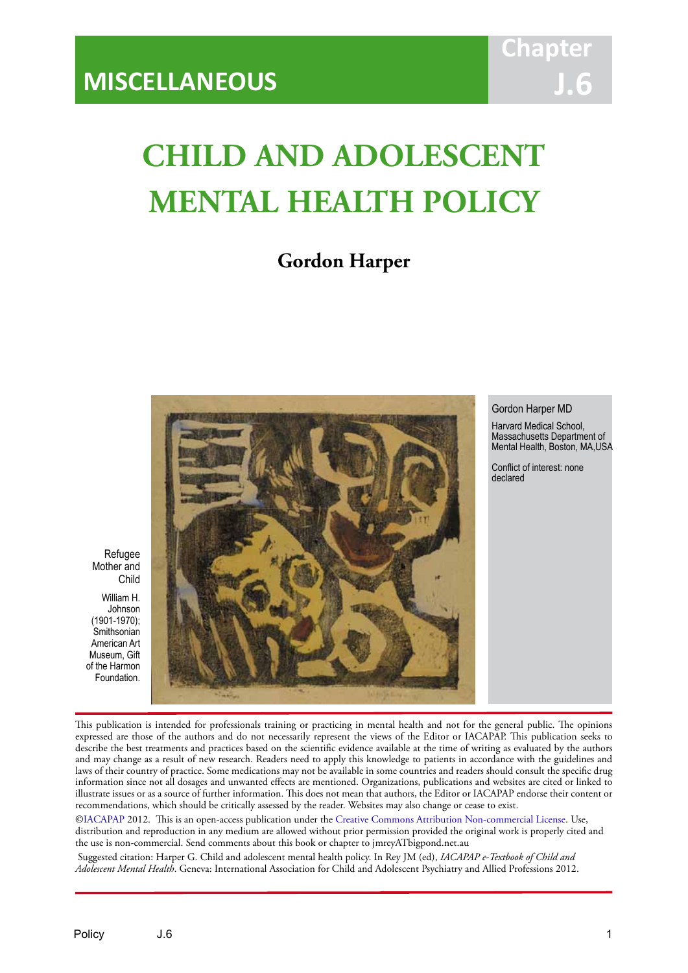# **Chapt J.6**

# **CHILD AND ADOLESCENT MENTAL HEALTH POLICY**

IACAPAP Textbook of Child and Adolescent Mental Health

# **Gordon Harper**



Gordon Harper MD

Harvard Medical School, Massachusetts Department of Mental Health, Boston, MA,USA

Conflict of interest: none declared

Refugee Mother and Child

William H. Johnson (1901-1970); **Smithsonian** American Art Museum, Gift of the Harmon Foundation.

This publication is intended for professionals training or practicing in mental health and not for the general public. The opinions expressed are those of the authors and do not necessarily represent the views of the Editor or IACAPAP. This publication seeks to describe the best treatments and practices based on the scientific evidence available at the time of writing as evaluated by the authors and may change as a result of new research. Readers need to apply this knowledge to patients in accordance with the guidelines and laws of their country of practice. Some medications may not be available in some countries and readers should consult the specific drug information since not all dosages and unwanted effects are mentioned. Organizations, publications and websites are cited or linked to illustrate issues or as a source of further information. This does not mean that authors, the Editor or IACAPAP endorse their content or recommendations, which should be critically assessed by the reader. Websites may also change or cease to exist.

[©IACAPAP](http://iacapap.org/) 2012. This is an open-access publication under the [Creative Commons Attribution Non-commercial License](http://creativecommons.org/licenses/by-nc/2.0/). Use, distribution and reproduction in any medium are allowed without prior permission provided the original work is properly cited and the use is non-commercial. Send comments about this book or chapter to jmreyATbigpond.net.au

 Suggested citation: Harper G. Child and adolescent mental health policy. In Rey JM (ed), *IACAPAP e-Textbook of Child and Adolescent Mental Health*. Geneva: International Association for Child and Adolescent Psychiatry and Allied Professions 2012.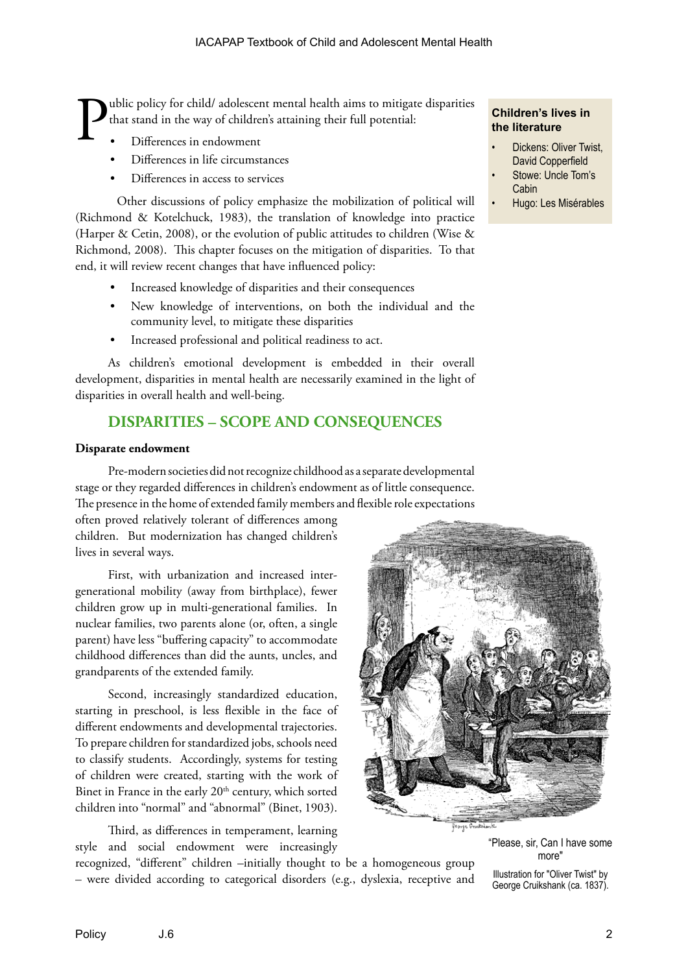ublic policy for child/ adolescent mental health aims to mitigate disparities that stand in the way of children's attaining their full potential:

- Differences in endowment
- Differences in life circumstances
- Differences in access to services

Other discussions of policy emphasize the mobilization of political will (Richmond & Kotelchuck, 1983), the translation of knowledge into practice (Harper & Cetin, 2008), or the evolution of public attitudes to children (Wise & Richmond, 2008). This chapter focuses on the mitigation of disparities. To that end, it will review recent changes that have influenced policy:

- Increased knowledge of disparities and their consequences
- New knowledge of interventions, on both the individual and the community level, to mitigate these disparities
- Increased professional and political readiness to act.

As children's emotional development is embedded in their overall development, disparities in mental health are necessarily examined in the light of disparities in overall health and well-being.

# **DISPARITIES – SCOPE AND CONSEQUENCES**

## **Disparate endowment**

Pre-modern societies did not recognize childhood as a separate developmental stage or they regarded differences in children's endowment as of little consequence. The presence in the home of extended family members and flexible role expectations

often proved relatively tolerant of differences among children. But modernization has changed children's lives in several ways.

First, with urbanization and increased intergenerational mobility (away from birthplace), fewer children grow up in multi-generational families. In nuclear families, two parents alone (or, often, a single parent) have less "buffering capacity" to accommodate childhood differences than did the aunts, uncles, and grandparents of the extended family.

Second, increasingly standardized education, starting in preschool, is less flexible in the face of different endowments and developmental trajectories. To prepare children for standardized jobs, schools need to classify students. Accordingly, systems for testing of children were created, starting with the work of Binet in France in the early 20<sup>th</sup> century, which sorted children into "normal" and "abnormal" (Binet, 1903).

Third, as differences in temperament, learning style and social endowment were increasingly

recognized, "different" children –initially thought to be a homogeneous group – were divided according to categorical disorders (e.g., dyslexia, receptive and

## **Children's lives in the literature**

- Dickens: Oliver Twist, David Copperfield
- Stowe: Uncle Tom's **Cabin**
- Hugo: Les Misérables



"Please, sir, Can I have some more"

Illustration for "Oliver Twist" by George Cruikshank (ca. 1837).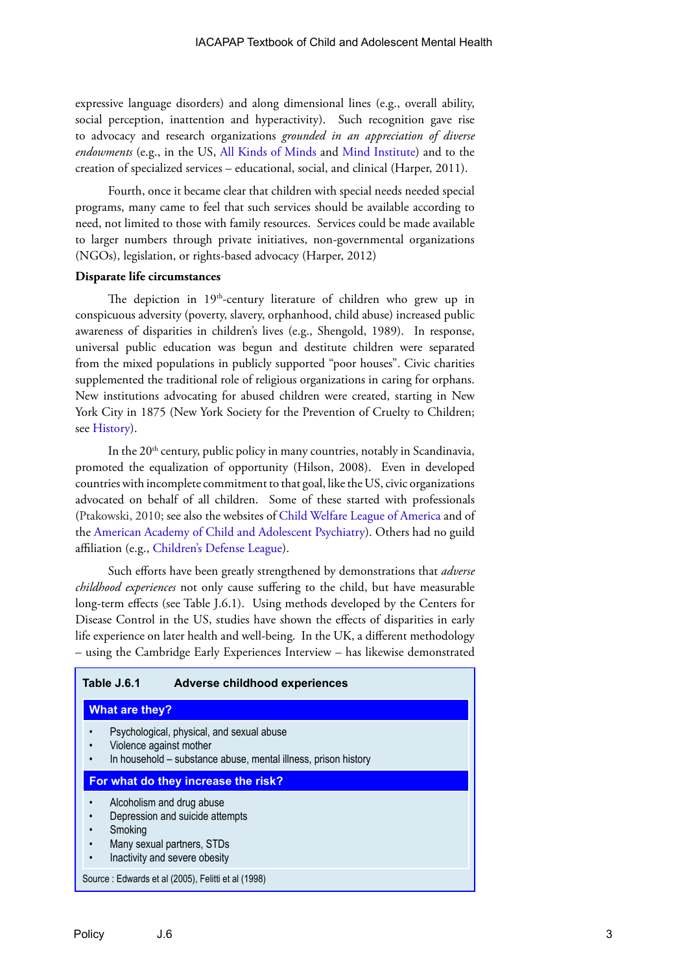expressive language disorders) and along dimensional lines (e.g., overall ability, social perception, inattention and hyperactivity). Such recognition gave rise to advocacy and research organizations *grounded in an appreciation of diverse endowments* (e.g., in the US, [All Kinds of Minds](http://www.allkindsofminds.org) and [Mind Institute\)](http://www.mindresearch.net) and to the creation of specialized services – educational, social, and clinical (Harper, 2011).

Fourth, once it became clear that children with special needs needed special programs, many came to feel that such services should be available according to need, not limited to those with family resources. Services could be made available to larger numbers through private initiatives, non-governmental organizations (NGOs), legislation, or rights-based advocacy (Harper, 2012)

## **Disparate life circumstances**

The depiction in 19<sup>th</sup>-century literature of children who grew up in conspicuous adversity (poverty, slavery, orphanhood, child abuse) increased public awareness of disparities in children's lives (e.g., Shengold, 1989). In response, universal public education was begun and destitute children were separated from the mixed populations in publicly supported "poor houses". Civic charities supplemented the traditional role of religious organizations in caring for orphans. New institutions advocating for abused children were created, starting in New York City in 1875 (New York Society for the Prevention of Cruelty to Children; see [History\)](www.nyspcc.org/nyspcc/history/attachment:en-us.pdf).

In the  $20<sup>th</sup>$  century, public policy in many countries, notably in Scandinavia, promoted the equalization of opportunity (Hilson, 2008).Even in developed countries with incomplete commitment to that goal, like the US, civic organizations advocated on behalf of all children. Some of these started with professionals (Ptakowski, 2010; see also the websites of [Child Welfare League of America](www.cwla.org) and of the [American Academy of Child and Adolescent Psychiatry\)](http://www.aacap.org/). Others had no guild affiliation (e.g., [Children's Defense League](www.childrensdefense.org)).

Such efforts have been greatly strengthened by demonstrations that *adverse childhood experiences* not only cause suffering to the child, but have measurable long-term effects (see Table J.6.1). Using methods developed by the Centers for Disease Control in the US, studies have shown the effects of disparities in early life experience on later health and well-being. In the UK, a different methodology – using the Cambridge Early Experiences Interview – has likewise demonstrated

## **Table J.6.1 Adverse childhood experiences**

#### **What are they?**

- Psychological, physical, and sexual abuse
- Violence against mother
- In household substance abuse, mental illness, prison history

#### **For what do they increase the risk?**

- Alcoholism and drug abuse
- Depression and suicide attempts
- **Smoking**
- Many sexual partners, STDs
- Inactivity and severe obesity

Source : Edwards et al (2005), Felitti et al (1998)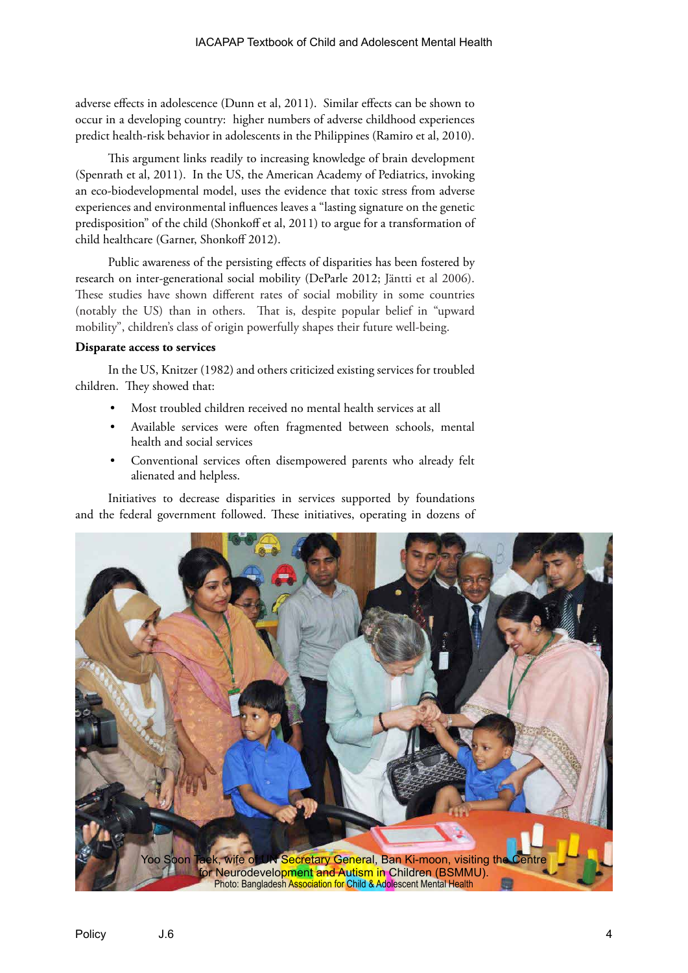adverse effects in adolescence (Dunn et al, 2011). Similar effects can be shown to occur in a developing country: higher numbers of adverse childhood experiences predict health-risk behavior in adolescents in the Philippines (Ramiro et al, 2010).

This argument links readily to increasing knowledge of brain development (Spenrath et al, 2011). In the US, the American Academy of Pediatrics, invoking an eco-biodevelopmental model, uses the evidence that toxic stress from adverse experiences and environmental influences leaves a "lasting signature on the genetic predisposition" of the child (Shonkoff et al, 2011) to argue for a transformation of child healthcare (Garner, Shonkoff 2012).

Public awareness of the persisting effects of disparities has been fostered by research on inter-generational social mobility (DeParle 2012; Jäntti et al 2006). These studies have shown different rates of social mobility in some countries (notably the US) than in others. That is, despite popular belief in "upward mobility", children's class of origin powerfully shapes their future well-being.

## **Disparate access to services**

In the US, Knitzer (1982) and others criticized existing services for troubled children. They showed that:

- Most troubled children received no mental health services at all
- Available services were often fragmented between schools, mental health and social services
- Conventional services often disempowered parents who already felt alienated and helpless.

Initiatives to decrease disparities in services supported by foundations and the federal government followed. These initiatives, operating in dozens of

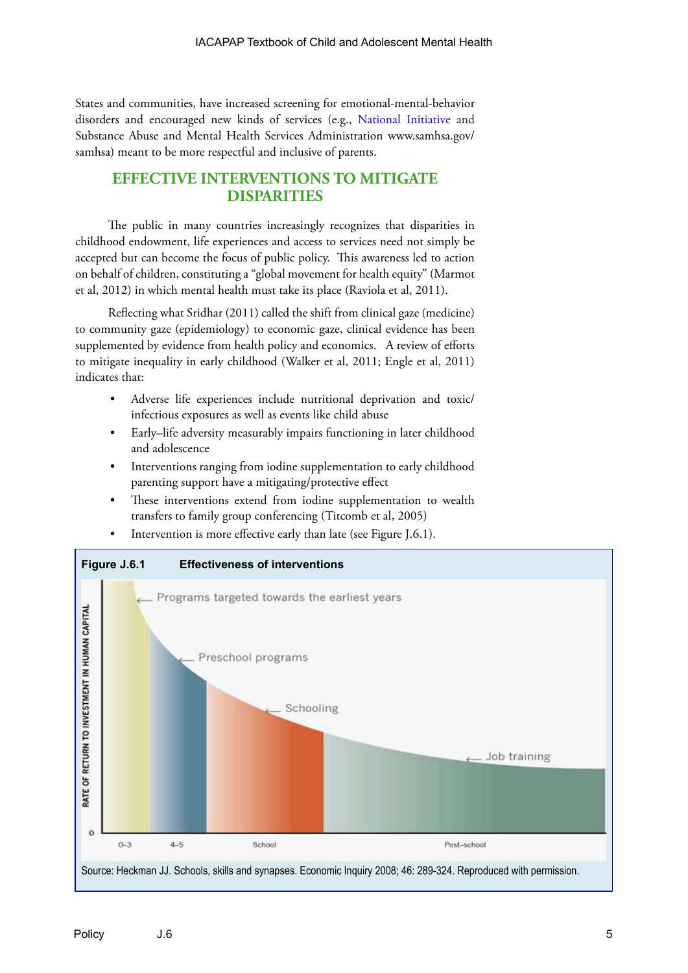States and communities, have increased screening for emotional-mental-behavior disorders and encouraged new kinds of services (e.g., [National Initiative](www.nwi.pdx.edu) and Substance Abuse and Mental Health Services Administration www.samhsa.gov/ samhsa) meant to be more respectful and inclusive of parents.

# **EFFECTIVE INTERVENTIONS TO MITIGATE DISPARITIES**

The public in many countries increasingly recognizes that disparities in childhood endowment, life experiences and access to services need not simply be accepted but can become the focus of public policy. This awareness led to action on behalf of children, constituting a "global movement for health equity" (Marmot et al, 2012) in which mental health must take its place (Raviola et al, 2011).

Reflecting what Sridhar (2011) called the shift from clinical gaze (medicine) to community gaze (epidemiology) to economic gaze, clinical evidence has been supplemented by evidence from health policy and economics. A review of efforts to mitigate inequality in early childhood (Walker et al, 2011; Engle et al, 2011) indicates that:

- Adverse life experiences include nutritional deprivation and toxic/ infectious exposures as well as events like child abuse
- Early–life adversity measurably impairs functioning in later childhood and adolescence
- Interventions ranging from iodine supplementation to early childhood parenting support have a mitigating/protective effect
- These interventions extend from iodine supplementation to wealth transfers to family group conferencing (Titcomb et al, 2005)



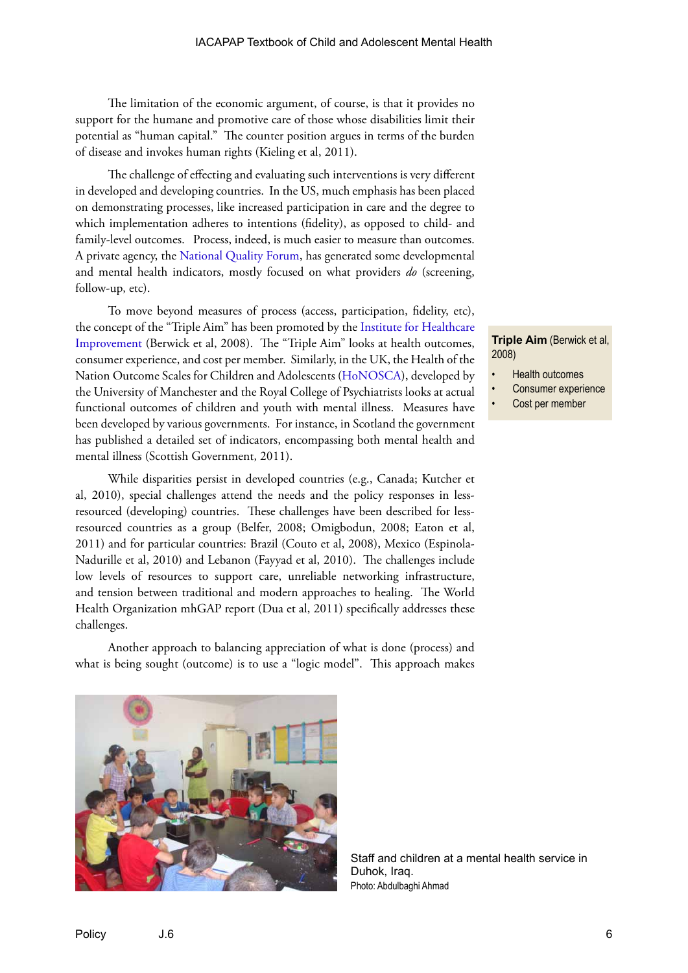The limitation of the economic argument, of course, is that it provides no support for the humane and promotive care of those whose disabilities limit their potential as "human capital." The counter position argues in terms of the burden of disease and invokes human rights (Kieling et al, 2011).

The challenge of effecting and evaluating such interventions is very different in developed and developing countries. In the US, much emphasis has been placed on demonstrating processes, like increased participation in care and the degree to which implementation adheres to intentions (fidelity), as opposed to child- and family-level outcomes. Process, indeed, is much easier to measure than outcomes. A private agency, the [National Quality Forum](www.qualityforum.org), has generated some developmental and mental health indicators, mostly focused on what providers *do* (screening, follow-up, etc).

To move beyond measures of process (access, participation, fidelity, etc), the concept of the "Triple Aim" has been promoted by the [Institute for Healthcare](www.ihi.org)  [Improvement](www.ihi.org) (Berwick et al, 2008). The "Triple Aim" looks at health outcomes, consumer experience, and cost per member. Similarly, in the UK, the Health of the Nation Outcome Scales for Children and Adolescents ([HoNOSCA](http://www.liv.ac.uk/honosca)), developed by the University of Manchester and the Royal College of Psychiatrists looks at actual functional outcomes of children and youth with mental illness. Measures have been developed by various governments. For instance, in Scotland the government has published a detailed set of indicators, encompassing both mental health and mental illness (Scottish Government, 2011).

While disparities persist in developed countries (e.g., Canada; Kutcher et al, 2010), special challenges attend the needs and the policy responses in lessresourced (developing) countries. These challenges have been described for lessresourced countries as a group (Belfer, 2008; Omigbodun, 2008; Eaton et al, 2011) and for particular countries: Brazil (Couto et al, 2008), Mexico (Espinola-Nadurille et al, 2010) and Lebanon (Fayyad et al, 2010). The challenges include low levels of resources to support care, unreliable networking infrastructure, and tension between traditional and modern approaches to healing. The World Health Organization mhGAP report (Dua et al, 2011) specifically addresses these challenges.

Another approach to balancing appreciation of what is done (process) and what is being sought (outcome) is to use a "logic model". This approach makes



- Health outcomes
- Consumer experience
	- Cost per member



Staff and children at a mental health service in Duhok, Iraq. Photo: Abdulbaghi Ahmad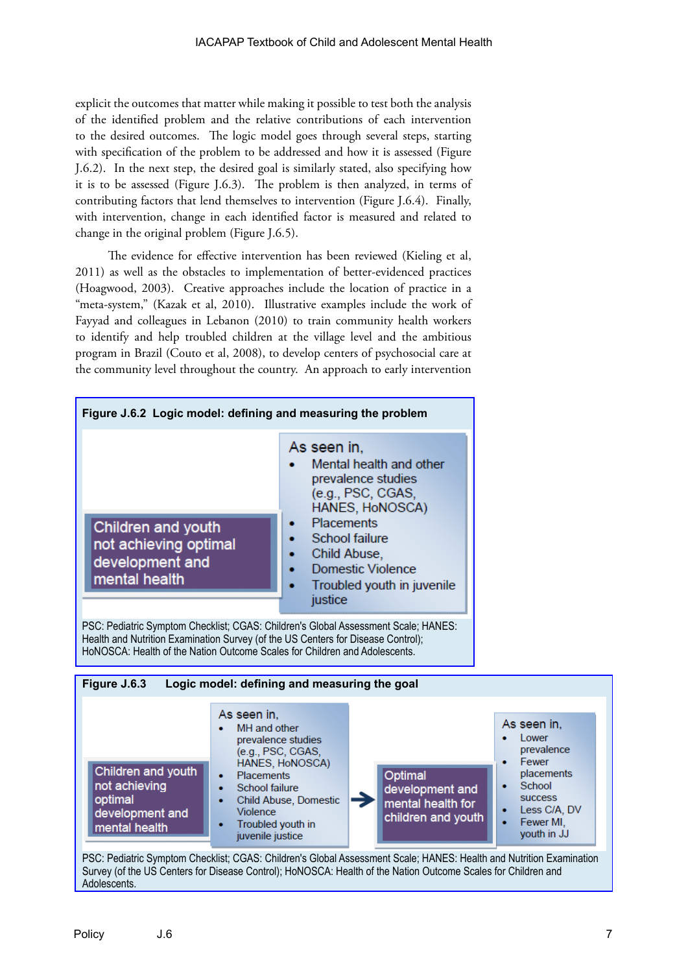explicit the outcomes that matter while making it possible to test both the analysis of the identified problem and the relative contributions of each intervention to the desired outcomes. The logic model goes through several steps, starting with specification of the problem to be addressed and how it is assessed (Figure J.6.2). In the next step, the desired goal is similarly stated, also specifying how it is to be assessed (Figure J.6.3). The problem is then analyzed, in terms of contributing factors that lend themselves to intervention (Figure J.6.4). Finally, with intervention, change in each identified factor is measured and related to change in the original problem (Figure J.6.5).

The evidence for effective intervention has been reviewed (Kieling et al, 2011) as well as the obstacles to implementation of better-evidenced practices (Hoagwood, 2003). Creative approaches include the location of practice in a "meta-system," (Kazak et al, 2010). Illustrative examples include the work of Fayyad and colleagues in Lebanon (2010) to train community health workers to identify and help troubled children at the village level and the ambitious program in Brazil (Couto et al, 2008), to develop centers of psychosocial care at the community level throughout the country. An approach to early intervention

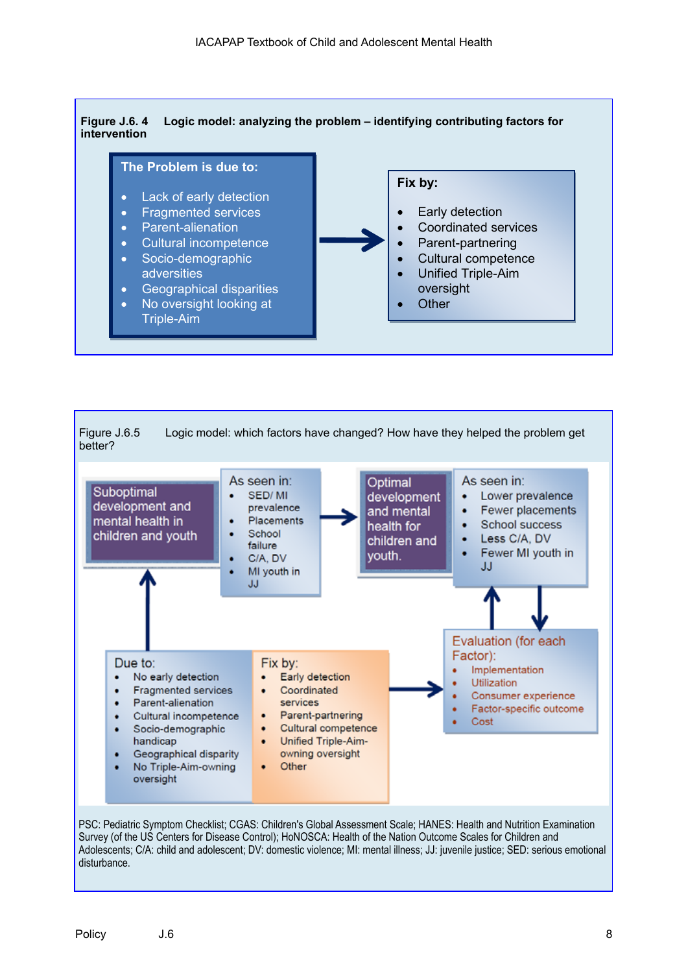



Survey (of the US Centers for Disease Control); HoNOSCA: Health of the Nation Outcome Scales for Children and Adolescents; C/A: child and adolescent; DV: domestic violence; MI: mental illness; JJ: juvenile justice; SED: serious emotional disturbance.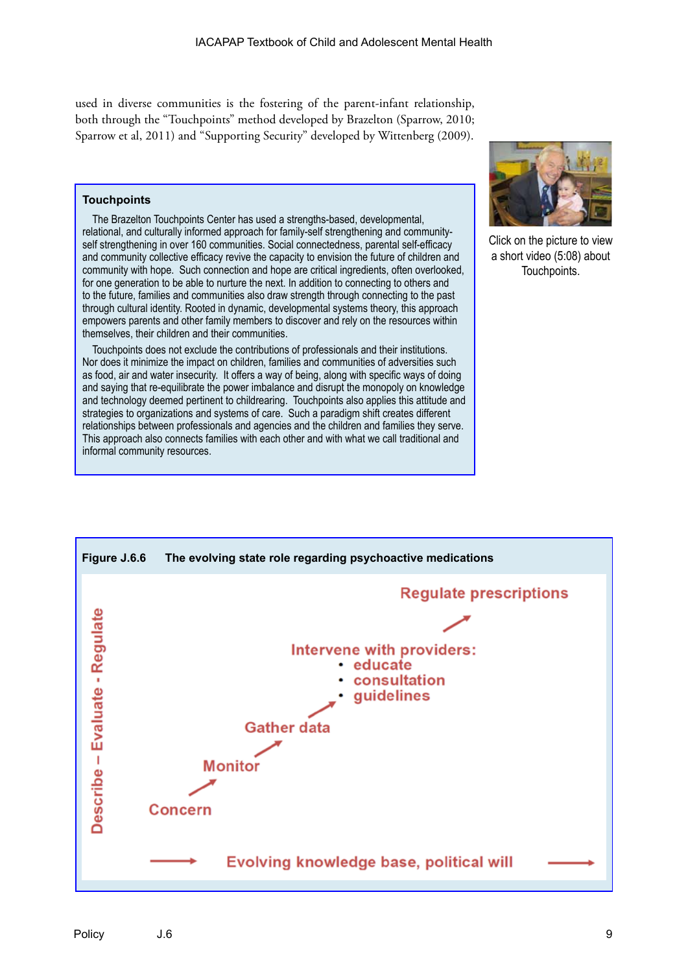used in diverse communities is the fostering of the parent-infant relationship, both through the "Touchpoints" method developed by Brazelton (Sparrow, 2010; Sparrow et al, 2011) and "Supporting Security" developed by Wittenberg (2009).

## **Touchpoints**

The Brazelton Touchpoints Center has used a strengths-based, developmental, relational, and culturally informed approach for family-self strengthening and communityself strengthening in over 160 communities. Social connectedness, parental self-efficacy and community collective efficacy revive the capacity to envision the future of children and community with hope. Such connection and hope are critical ingredients, often overlooked, for one generation to be able to nurture the next. In addition to connecting to others and to the future, families and communities also draw strength through connecting to the past through cultural identity. Rooted in dynamic, developmental systems theory, this approach empowers parents and other family members to discover and rely on the resources within themselves, their children and their communities.

Touchpoints does not exclude the contributions of professionals and their institutions. Nor does it minimize the impact on children, families and communities of adversities such as food, air and water insecurity. It offers a way of being, along with specific ways of doing and saying that re-equilibrate the power imbalance and disrupt the monopoly on knowledge and technology deemed pertinent to childrearing. Touchpoints also applies this attitude and strategies to organizations and systems of care. Such a paradigm shift creates different relationships between professionals and agencies and the children and families they serve. This approach also connects families with each other and with what we call traditional and informal community resources.



Click on the picture to view a short video (5:08) about Touchpoints.

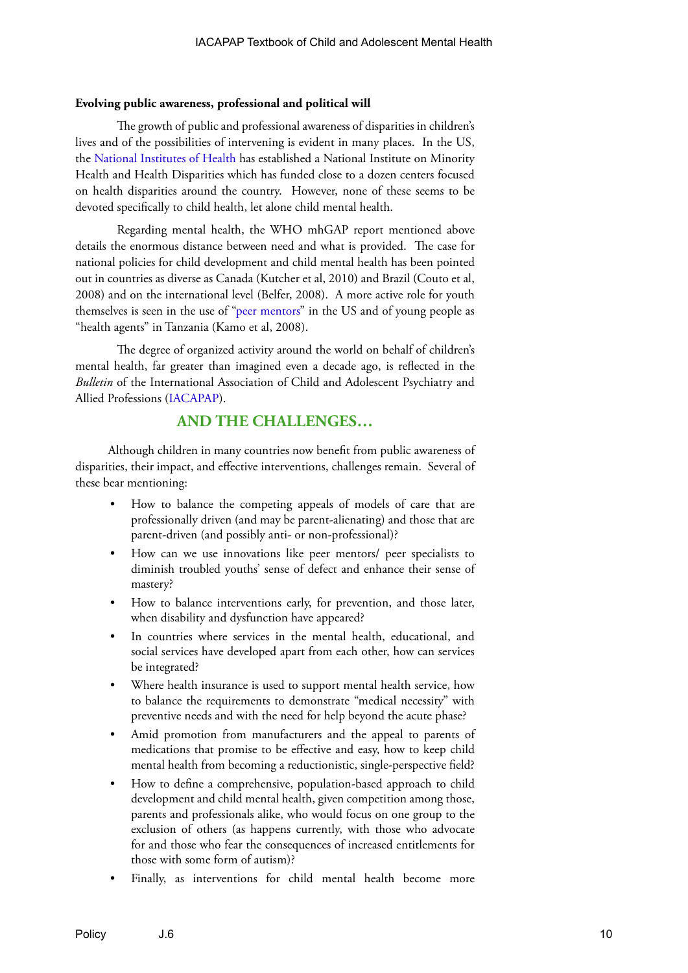### **Evolving public awareness, professional and political will**

The growth of public and professional awareness of disparities in children's lives and of the possibilities of intervening is evident in many places. In the US, the [National Institutes of Health](http://www.nimhd.nih.gov/) has established a National Institute on Minority Health and Health Disparities which has funded close to a dozen centers focused on health disparities around the country. However, none of these seems to be devoted specifically to child health, let alone child mental health.

Regarding mental health, the WHO mhGAP report mentioned above details the enormous distance between need and what is provided. The case for national policies for child development and child mental health has been pointed out in countries as diverse as Canada (Kutcher et al, 2010) and Brazil (Couto et al, 2008) and on the international level (Belfer, 2008). A more active role for youth themselves is seen in the use of ["peer mentors"](http://www.egpatagents.com/peer-mentoring-and-mental-health-recovery.html
) in the US and of young people as "health agents" in Tanzania (Kamo et al, 2008).

The degree of organized activity around the world on behalf of children's mental health, far greater than imagined even a decade ago, is reflected in the *Bulletin* of the International Association of Child and Adolescent Psychiatry and Allied Professions [\(IACAPAP\)](www.iacapap.org).

## **AND THE CHALLENGES…**

Although children in many countries now benefit from public awareness of disparities, their impact, and effective interventions, challenges remain. Several of these bear mentioning:

- How to balance the competing appeals of models of care that are professionally driven (and may be parent-alienating) and those that are parent-driven (and possibly anti- or non-professional)?
- How can we use innovations like peer mentors/ peer specialists to diminish troubled youths' sense of defect and enhance their sense of mastery?
- How to balance interventions early, for prevention, and those later, when disability and dysfunction have appeared?
- In countries where services in the mental health, educational, and social services have developed apart from each other, how can services be integrated?
- Where health insurance is used to support mental health service, how to balance the requirements to demonstrate "medical necessity" with preventive needs and with the need for help beyond the acute phase?
- Amid promotion from manufacturers and the appeal to parents of medications that promise to be effective and easy, how to keep child mental health from becoming a reductionistic, single-perspective field?
- How to define a comprehensive, population-based approach to child development and child mental health, given competition among those, parents and professionals alike, who would focus on one group to the exclusion of others (as happens currently, with those who advocate for and those who fear the consequences of increased entitlements for those with some form of autism)?
- Finally, as interventions for child mental health become more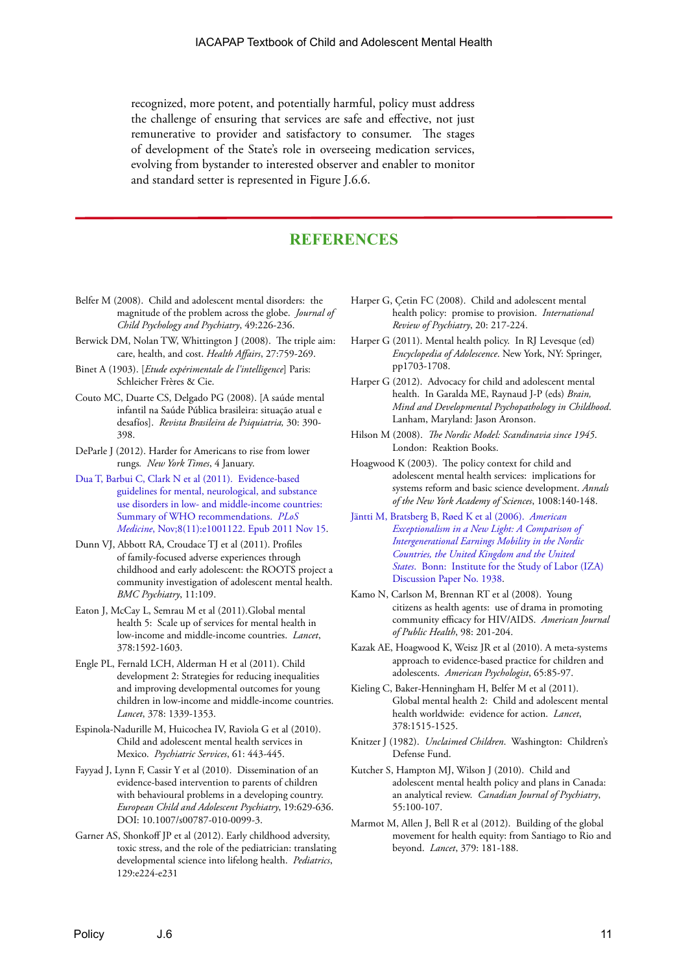recognized, more potent, and potentially harmful, policy must address the challenge of ensuring that services are safe and effective, not just remunerative to provider and satisfactory to consumer. The stages of development of the State's role in overseeing medication services, evolving from bystander to interested observer and enabler to monitor and standard setter is represented in Figure J.6.6.

## **REFERENCES**

- Belfer M (2008). Child and adolescent mental disorders: the magnitude of the problem across the globe. *Journal of Child Psychology and Psychiatry*, 49:226-236.
- Berwick DM, Nolan TW, Whittington J (2008). The triple aim: care, health, and cost. *Health Affairs*, 27:759-269.
- Binet A (1903). [*Etude expérimentale de l'intelligence*] Paris: Schleicher Frères & Cie.
- Couto MC, Duarte CS, Delgado PG (2008). [A saúde mental infantil na Saúde Pública brasileira: situação atual e desafíos]. *Revista Brasileira de Psiquiatria,* 30: 390- 398.
- DeParle J (2012). Harder for Americans to rise from lower rungs*. New York Times*, 4 January.
- [Dua T, Barbui C, Clark N et al \(2011\). Evidence-based](http://www.ncbi.nlm.nih.gov/pmc/articles/PMC3217030/?tool=pubmed)  [guidelines for mental, neurological, and substance](http://www.ncbi.nlm.nih.gov/pmc/articles/PMC3217030/?tool=pubmed)  [use disorders in low- and middle-income countries:](http://www.ncbi.nlm.nih.gov/pmc/articles/PMC3217030/?tool=pubmed)  [Summary of WHO recommendations.](http://www.ncbi.nlm.nih.gov/pmc/articles/PMC3217030/?tool=pubmed) *PLoS Medicine*[, Nov;8\(11\):e1001122. Epub 2011 Nov 15](http://www.ncbi.nlm.nih.gov/pmc/articles/PMC3217030/?tool=pubmed).
- Dunn VJ, Abbott RA, Croudace TJ et al (2011). Profiles of family-focused adverse experiences through childhood and early adolescent: the ROOTS project a community investigation of adolescent mental health. *BMC Psychiatry*, 11:109.
- Eaton J, McCay L, Semrau M et al (2011).Global mental health 5: Scale up of services for mental health in low-income and middle-income countries. *Lancet*, 378:1592-1603.
- Engle PL, Fernald LCH, Alderman H et al (2011). Child development 2: Strategies for reducing inequalities and improving developmental outcomes for young children in low-income and middle-income countries. *Lancet*, 378: 1339-1353.
- Espinola-Nadurille M, Huicochea IV, Raviola G et al (2010). Child and adolescent mental health services in Mexico. *Psychiatric Services*, 61: 443-445.
- Fayyad J, Lynn F, Cassir Y et al (2010). Dissemination of an evidence-based intervention to parents of children with behavioural problems in a developing country. *European Child and Adolescent Psychiatry*, 19:629-636. DOI: 10.1007/s00787-010-0099-3.
- Garner AS, Shonkoff JP et al (2012). Early childhood adversity, toxic stress, and the role of the pediatrician: translating developmental science into lifelong health. *Pediatrics*, 129:e224-e231
- Harper G, Çetin FC (2008). Child and adolescent mental health policy: promise to provision. *International Review of Psychiatry*, 20: 217-224.
- Harper G (2011). Mental health policy. In RJ Levesque (ed) *Encyclopedia of Adolescence*. New York, NY: Springer, pp1703-1708.
- Harper G (2012). Advocacy for child and adolescent mental health. In Garalda ME, Raynaud J-P (eds) *Brain, Mind and Developmental Psychopathology in Childhood*. Lanham, Maryland: Jason Aronson.
- Hilson M (2008). *The Nordic Model: Scandinavia since 1945*. London: Reaktion Books.
- Hoagwood K (2003). The policy context for child and adolescent mental health services: implications for systems reform and basic science development. *Annals of the New York Academy of Sciences*, 1008:140-148.
- [Jäntti M, Bratsberg B, Røed K et al \(2006\).](http://ftp.iza.org/dp1938.pdf) *American [Exceptionalism in a New Light: A Comparison of](http://ftp.iza.org/dp1938.pdf)  [Intergenerational Earnings Mobility in the Nordic](http://ftp.iza.org/dp1938.pdf)  [Countries, the United Kingdom and the United](http://ftp.iza.org/dp1938.pdf)  States*[. Bonn: Institute for the Study of Labor \(IZA\)](http://ftp.iza.org/dp1938.pdf)  [Discussion Paper No. 1938.](http://ftp.iza.org/dp1938.pdf)
- Kamo N, Carlson M, Brennan RT et al (2008). Young citizens as health agents: use of drama in promoting community efficacy for HIV/AIDS. *American Journal of Public Health*, 98: 201-204.
- Kazak AE, Hoagwood K, Weisz JR et al (2010). A meta-systems approach to evidence-based practice for children and adolescents. *American Psychologist*, 65:85-97.
- Kieling C, Baker-Henningham H, Belfer M et al (2011). Global mental health 2: Child and adolescent mental health worldwide: evidence for action. *Lancet*, 378:1515-1525.
- Knitzer J (1982). *Unclaimed Children*. Washington: Children's Defense Fund.
- Kutcher S, Hampton MJ, Wilson J (2010). Child and adolescent mental health policy and plans in Canada: an analytical review. *Canadian Journal of Psychiatry*, 55:100-107.
- Marmot M, Allen J, Bell R et al (2012). Building of the global movement for health equity: from Santiago to Rio and beyond. *Lancet*, 379: 181-188.